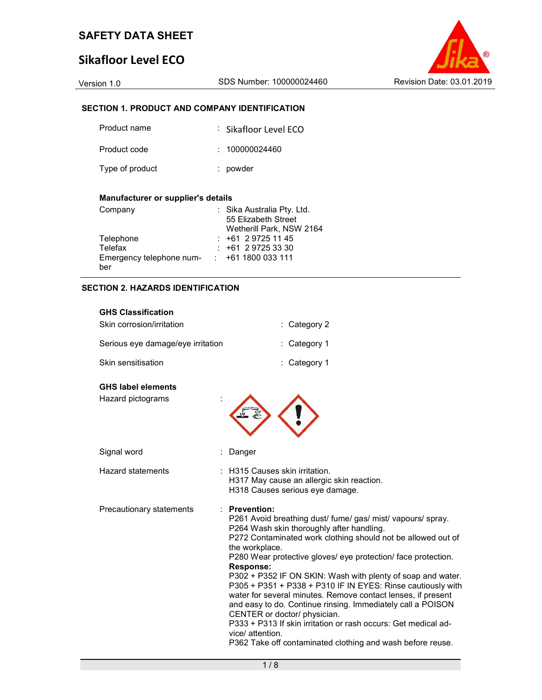## Sikafloor Level ECO

Version 1.0 SDS Number: 100000024460 Revision Date: 03.01.2019

#### SECTION 1. PRODUCT AND COMPANY IDENTIFICATION

| Product name    | : Sikafloor Level ECO |
|-----------------|-----------------------|
| Product code    | : 100000024460        |
| Type of product | : powder              |

#### Manufacturer or supplier's details

| Company                  | : Sika Australia Pty. Ltd. |
|--------------------------|----------------------------|
|                          | 55 Elizabeth Street        |
|                          | Wetherill Park, NSW 2164   |
| Telephone                | $: +61297251145$           |
| Telefax                  | $: +61297253330$           |
| Emergency telephone num- | $: +611800033111$          |
| ber                      |                            |

#### SECTION 2. HAZARDS IDENTIFICATION

#### GHS Classification

| Skin corrosion/irritation         | $\therefore$ Category 2 |
|-----------------------------------|-------------------------|
| Serious eye damage/eye irritation | $\therefore$ Category 1 |
| Skin sensitisation                | : Category 1            |

#### GHS label elements

Hazard pictograms :



: H315 Causes skin irritation.

H317 May cause an allergic skin reaction. H318 Causes serious eye damage.

| Signal word |  | : Danger |
|-------------|--|----------|
|-------------|--|----------|

Precautionary statements : Prevention:

P261 Avoid breathing dust/ fume/ gas/ mist/ vapours/ spray. P264 Wash skin thoroughly after handling.

P272 Contaminated work clothing should not be allowed out of the workplace.

P280 Wear protective gloves/ eye protection/ face protection. Response:

P302 + P352 IF ON SKIN: Wash with plenty of soap and water. P305 + P351 + P338 + P310 IF IN EYES: Rinse cautiously with water for several minutes. Remove contact lenses, if present and easy to do. Continue rinsing. Immediately call a POISON CENTER or doctor/ physician.

P333 + P313 If skin irritation or rash occurs: Get medical advice/ attention.

P362 Take off contaminated clothing and wash before reuse.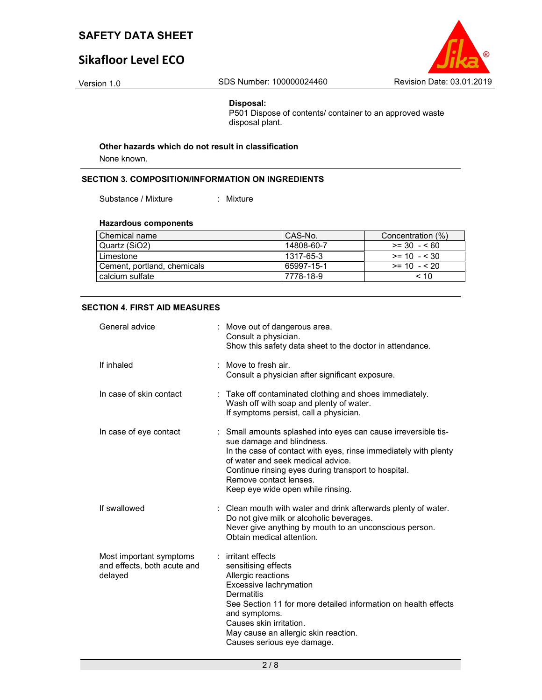# Sikafloor Level ECO



#### Disposal:

P501 Dispose of contents/ container to an approved waste disposal plant.

#### Other hazards which do not result in classification

None known.

#### SECTION 3. COMPOSITION/INFORMATION ON INGREDIENTS

Substance / Mixture : Mixture :

#### Hazardous components

| Chemical name               | l CAS-No.  | Concentration (%) |
|-----------------------------|------------|-------------------|
| Quartz (SiO2)               | 14808-60-7 | $>= 30 - 560$     |
| Limestone                   | 1317-65-3  | $>= 10 - 530$     |
| Cement, portland, chemicals | 65997-15-1 | $>= 10 - 520$     |
| calcium sulfate             | 7778-18-9  | < 10              |

#### SECTION 4. FIRST AID MEASURES

| General advice                                                    | : Move out of dangerous area.<br>Consult a physician.<br>Show this safety data sheet to the doctor in attendance.                                                                                                                                                                                                         |
|-------------------------------------------------------------------|---------------------------------------------------------------------------------------------------------------------------------------------------------------------------------------------------------------------------------------------------------------------------------------------------------------------------|
| If inhaled                                                        | : Move to fresh air.<br>Consult a physician after significant exposure.                                                                                                                                                                                                                                                   |
| In case of skin contact                                           | : Take off contaminated clothing and shoes immediately.<br>Wash off with soap and plenty of water.<br>If symptoms persist, call a physician.                                                                                                                                                                              |
| In case of eye contact                                            | : Small amounts splashed into eyes can cause irreversible tis-<br>sue damage and blindness.<br>In the case of contact with eyes, rinse immediately with plenty<br>of water and seek medical advice.<br>Continue rinsing eyes during transport to hospital.<br>Remove contact lenses.<br>Keep eye wide open while rinsing. |
| If swallowed                                                      | : Clean mouth with water and drink afterwards plenty of water.<br>Do not give milk or alcoholic beverages.<br>Never give anything by mouth to an unconscious person.<br>Obtain medical attention.                                                                                                                         |
| Most important symptoms<br>and effects, both acute and<br>delayed | : irritant effects<br>sensitising effects<br>Allergic reactions<br>Excessive lachrymation<br>Dermatitis<br>See Section 11 for more detailed information on health effects<br>and symptoms.<br>Causes skin irritation.<br>May cause an allergic skin reaction.<br>Causes serious eye damage.                               |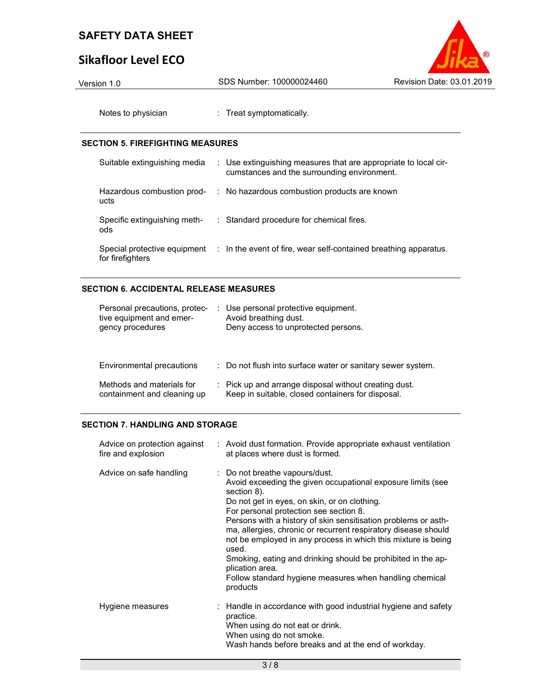# Sikafloor Level ECO



Notes to physician : Treat symptomatically.

#### SECTION 5. FIREFIGHTING MEASURES

| Suitable extinguishing media                     | : Use extinguishing measures that are appropriate to local cir-<br>cumstances and the surrounding environment. |
|--------------------------------------------------|----------------------------------------------------------------------------------------------------------------|
| Hazardous combustion prod-<br>ucts               | : No hazardous combustion products are known                                                                   |
| Specific extinguishing meth-<br>ods              | : Standard procedure for chemical fires.                                                                       |
| Special protective equipment<br>for firefighters | : In the event of fire, wear self-contained breathing apparatus.                                               |

### SECTION 6. ACCIDENTAL RELEASE MEASURES

| Personal precautions, protec-<br>tive equipment and emer-<br>gency procedures | : Use personal protective equipment.<br>Avoid breathing dust.<br>Deny access to unprotected persons.       |
|-------------------------------------------------------------------------------|------------------------------------------------------------------------------------------------------------|
| Environmental precautions                                                     | : Do not flush into surface water or sanitary sewer system.                                                |
| Methods and materials for<br>containment and cleaning up                      | : Pick up and arrange disposal without creating dust.<br>Keep in suitable, closed containers for disposal. |

#### SECTION 7. HANDLING AND STORAGE

| Advice on protection against<br>fire and explosion | : Avoid dust formation. Provide appropriate exhaust ventilation<br>at places where dust is formed.                                                                                                                                                                                                                                                                                                                                                                                                                                                                             |
|----------------------------------------------------|--------------------------------------------------------------------------------------------------------------------------------------------------------------------------------------------------------------------------------------------------------------------------------------------------------------------------------------------------------------------------------------------------------------------------------------------------------------------------------------------------------------------------------------------------------------------------------|
| Advice on safe handling                            | : Do not breathe vapours/dust.<br>Avoid exceeding the given occupational exposure limits (see<br>section 8).<br>Do not get in eyes, on skin, or on clothing.<br>For personal protection see section 8.<br>Persons with a history of skin sensitisation problems or asth-<br>ma, allergies, chronic or recurrent respiratory disease should<br>not be employed in any process in which this mixture is being<br>used.<br>Smoking, eating and drinking should be prohibited in the ap-<br>plication area.<br>Follow standard hygiene measures when handling chemical<br>products |
| Hygiene measures                                   | : Handle in accordance with good industrial hygiene and safety<br>practice.<br>When using do not eat or drink.<br>When using do not smoke.<br>Wash hands before breaks and at the end of workday.                                                                                                                                                                                                                                                                                                                                                                              |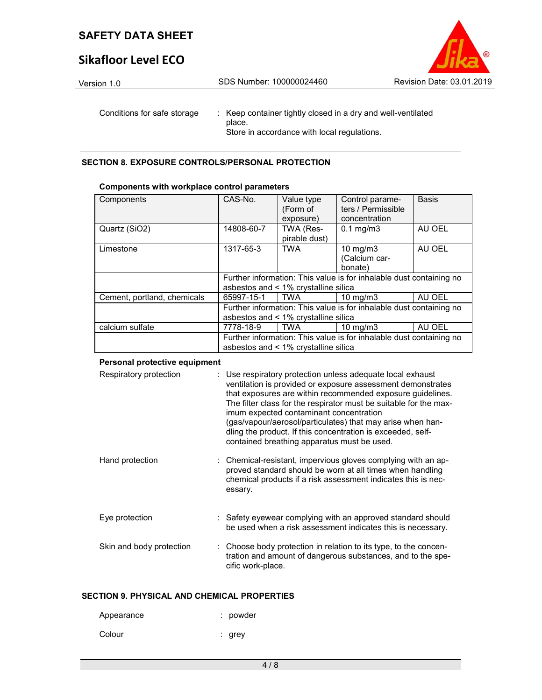# Sikafloor Level ECO



Conditions for safe storage : Keep container tightly closed in a dry and well-ventilated place. Store in accordance with local regulations.

SECTION 8. EXPOSURE CONTROLS/PERSONAL PROTECTION

| Components                  | CAS-No.    | Value type                           | Control parame-                                                     | <b>Basis</b> |
|-----------------------------|------------|--------------------------------------|---------------------------------------------------------------------|--------------|
|                             |            | (Form of                             | ters / Permissible                                                  |              |
|                             |            | exposure)                            | concentration                                                       |              |
| Quartz (SiO2)               | 14808-60-7 | TWA (Res-                            | $0.1$ mg/m $3$                                                      | AU OEL       |
|                             |            | pirable dust)                        |                                                                     |              |
| Limestone                   | 1317-65-3  | <b>TWA</b>                           | 10 mg/m $3$                                                         | AU OEL       |
|                             |            |                                      | (Calcium car-                                                       |              |
|                             |            |                                      | bonate)                                                             |              |
|                             |            |                                      |                                                                     |              |
|                             |            |                                      | Further information: This value is for inhalable dust containing no |              |
|                             |            | asbestos and < 1% crystalline silica |                                                                     |              |
| Cement, portland, chemicals | 65997-15-1 | l TWA                                | $10 \text{ mg/m}$                                                   | AU OEL       |
|                             |            |                                      | Further information: This value is for inhalable dust containing no |              |
|                             |            | asbestos and < 1% crystalline silica |                                                                     |              |
| calcium sulfate             | 7778-18-9  | TWA                                  | $10 \text{ mg/m}$                                                   | AU OEL       |
|                             |            |                                      | Further information: This value is for inhalable dust containing no |              |

#### Components with workplace control parameters

#### Personal protective equipment

| Respiratory protection   | : Use respiratory protection unless adequate local exhaust<br>ventilation is provided or exposure assessment demonstrates<br>that exposures are within recommended exposure guidelines.<br>The filter class for the respirator must be suitable for the max-<br>imum expected contaminant concentration<br>(gas/vapour/aerosol/particulates) that may arise when han-<br>dling the product. If this concentration is exceeded, self-<br>contained breathing apparatus must be used. |
|--------------------------|-------------------------------------------------------------------------------------------------------------------------------------------------------------------------------------------------------------------------------------------------------------------------------------------------------------------------------------------------------------------------------------------------------------------------------------------------------------------------------------|
| Hand protection          | : Chemical-resistant, impervious gloves complying with an ap-<br>proved standard should be worn at all times when handling<br>chemical products if a risk assessment indicates this is nec-<br>essary.                                                                                                                                                                                                                                                                              |
| Eye protection           | : Safety eyewear complying with an approved standard should<br>be used when a risk assessment indicates this is necessary.                                                                                                                                                                                                                                                                                                                                                          |
| Skin and body protection | : Choose body protection in relation to its type, to the concen-<br>tration and amount of dangerous substances, and to the spe-<br>cific work-place.                                                                                                                                                                                                                                                                                                                                |

#### SECTION 9. PHYSICAL AND CHEMICAL PROPERTIES

| Appearance | : powder |
|------------|----------|
| Colour     | : grey   |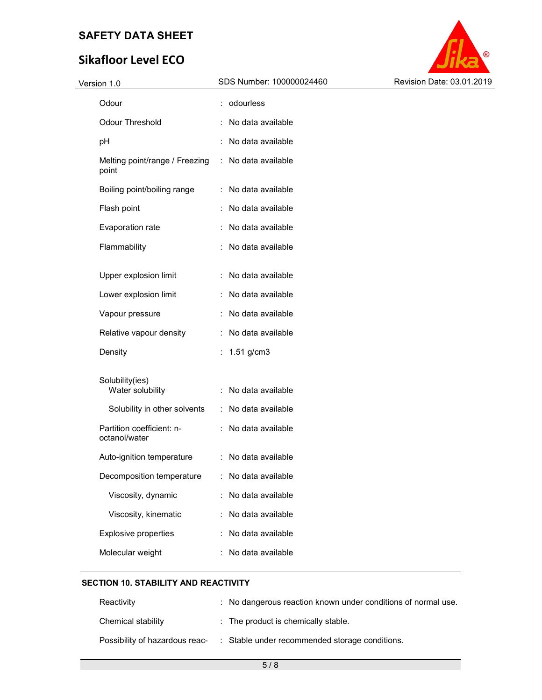# Sikafloor Level ECO



| Version 1.0                                   | SDS Number: 100000024460 | Revision Date: 03.01.2019 |
|-----------------------------------------------|--------------------------|---------------------------|
| Odour                                         | : odourless              |                           |
| <b>Odour Threshold</b>                        | : No data available      |                           |
| pH                                            | : No data available      |                           |
| Melting point/range / Freezing<br>point       | : No data available      |                           |
| Boiling point/boiling range                   | : No data available      |                           |
| Flash point                                   | : No data available      |                           |
| Evaporation rate                              | : No data available      |                           |
| Flammability                                  | : No data available      |                           |
| Upper explosion limit                         | : No data available      |                           |
| Lower explosion limit                         | : No data available      |                           |
| Vapour pressure                               | : No data available      |                           |
| Relative vapour density                       | : No data available      |                           |
| Density                                       | : $1.51$ g/cm3           |                           |
| Solubility(ies)<br>Water solubility           | : No data available      |                           |
| Solubility in other solvents                  | : No data available      |                           |
| Partition coefficient: n-<br>octanol/water    | : No data available      |                           |
| Auto-ignition temperature                     | : No data available      |                           |
| Decomposition temperature : No data available |                          |                           |
| Viscosity, dynamic                            | : No data available      |                           |
| Viscosity, kinematic                          | : No data available      |                           |
| Explosive properties                          | No data available        |                           |
| Molecular weight                              | No data available        |                           |
|                                               |                          |                           |

#### SECTION 10. STABILITY AND REACTIVITY

| Reactivity                     | : No dangerous reaction known under conditions of normal use. |
|--------------------------------|---------------------------------------------------------------|
| Chemical stability             | : The product is chemically stable.                           |
| Possibility of hazardous reac- | Stable under recommended storage conditions.                  |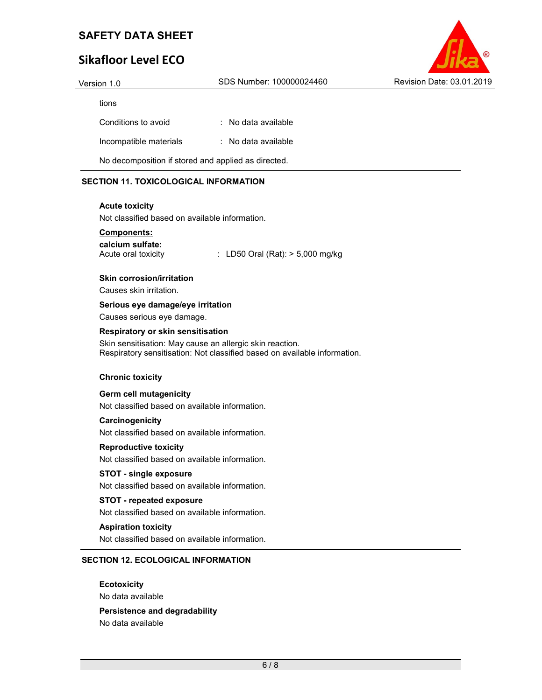# Sikafloor Level ECO



| Version 1.0         | SDS Number: 100000024460 | Revision Date: 03.01.2019 |
|---------------------|--------------------------|---------------------------|
| tions               |                          |                           |
| Conditions to avoid | : No data available      |                           |

Incompatible materials : No data available

No decomposition if stored and applied as directed.

#### SECTION 11. TOXICOLOGICAL INFORMATION

#### Acute toxicity

Not classified based on available information.

#### Components:

calcium sulfate:

Acute oral toxicity : LD50 Oral (Rat): > 5,000 mg/kg

#### Skin corrosion/irritation

Causes skin irritation.

#### Serious eye damage/eye irritation

Causes serious eye damage.

#### Respiratory or skin sensitisation

Skin sensitisation: May cause an allergic skin reaction. Respiratory sensitisation: Not classified based on available information.

#### Chronic toxicity

Germ cell mutagenicity

Not classified based on available information.

#### **Carcinogenicity**

Not classified based on available information.

#### Reproductive toxicity

Not classified based on available information.

#### STOT - single exposure

Not classified based on available information.

#### STOT - repeated exposure

Not classified based on available information.

#### Aspiration toxicity

Not classified based on available information.

#### SECTION 12. ECOLOGICAL INFORMATION

**Ecotoxicity** No data available

#### Persistence and degradability

No data available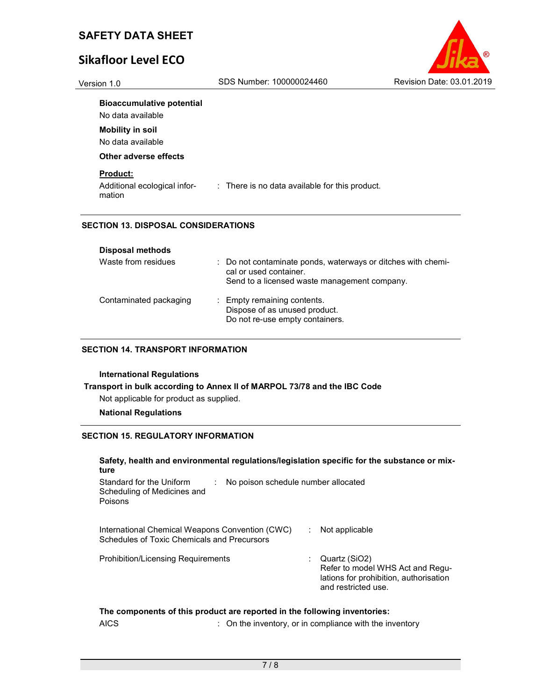# Sikafloor Level ECO



#### Bioaccumulative potential

No data available

Mobility in soil

No data available

#### Other adverse effects

#### Product:

Additional ecological information : There is no data available for this product.

#### SECTION 13. DISPOSAL CONSIDERATIONS

| <b>Disposal methods</b> |                                                                                                                                        |
|-------------------------|----------------------------------------------------------------------------------------------------------------------------------------|
| Waste from residues     | : Do not contaminate ponds, waterways or ditches with chemi-<br>cal or used container.<br>Send to a licensed waste management company. |
| Contaminated packaging  | : Empty remaining contents.<br>Dispose of as unused product.<br>Do not re-use empty containers.                                        |

#### SECTION 14. TRANSPORT INFORMATION

#### International Regulations

Transport in bulk according to Annex II of MARPOL 73/78 and the IBC Code Not applicable for product as supplied.

#### National Regulations

#### SECTION 15. REGULATORY INFORMATION

#### Safety, health and environmental regulations/legislation specific for the substance or mixture Standard for the Uniform Scheduling of Medicines and Poisons : No poison schedule number allocated International Chemical Weapons Convention (CWC) Schedules of Toxic Chemicals and Precursors : Not applicable Prohibition/Licensing Requirements : Quartz (SiO2) Refer to model WHS Act and Regulations for prohibition, authorisation and restricted use.

#### The components of this product are reported in the following inventories:

AICS **EXECUTE:** On the inventory, or in compliance with the inventory